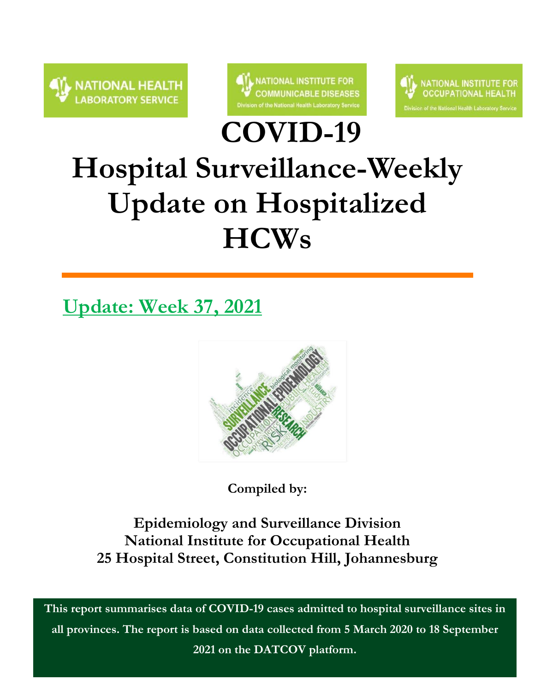



**COVID-19** 



# **Hospital Surveillance-Weekly Update on Hospitalized HCWs**

### **Update: Week 37, 2021**



**Compiled by:**

**Epidemiology and Surveillance Division National Institute for Occupational Health 25 Hospital Street, Constitution Hill, Johannesburg**

1 **This report summarises data of COVID-19 cases admitted to hospital surveillance sites in all provinces. The report is based on data collected from 5 March 2020 to 18 September 2021 on the DATCOV platform.**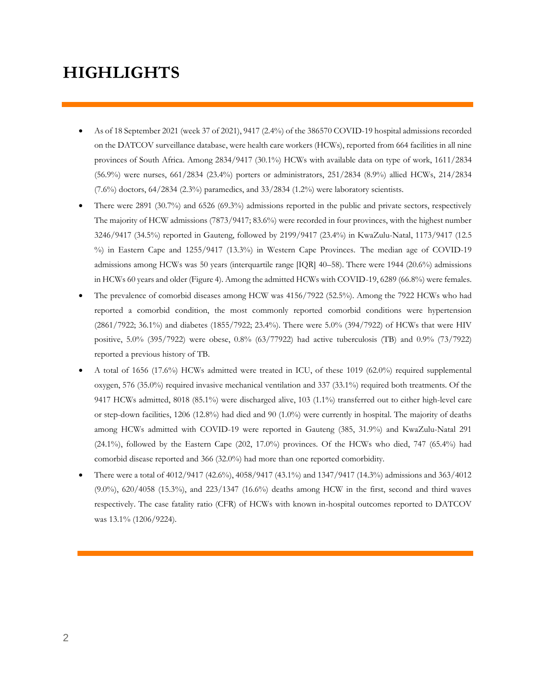### **HIGHLIGHTS**

- As of 18 September 2021 (week 37 of 2021), 9417 (2.4%) of the 386570 COVID-19 hospital admissions recorded on the DATCOV surveillance database, were health care workers (HCWs), reported from 664 facilities in all nine provinces of South Africa. Among 2834/9417 (30.1%) HCWs with available data on type of work, 1611/2834 (56.9%) were nurses, 661/2834 (23.4%) porters or administrators, 251/2834 (8.9%) allied HCWs, 214/2834  $(7.6\%)$  doctors,  $64/2834$   $(2.3\%)$  paramedics, and  $33/2834$   $(1.2\%)$  were laboratory scientists.
- There were 2891 (30.7%) and 6526 (69.3%) admissions reported in the public and private sectors, respectively The majority of HCW admissions (7873/9417; 83.6%) were recorded in four provinces, with the highest number 3246/9417 (34.5%) reported in Gauteng, followed by 2199/9417 (23.4%) in KwaZulu-Natal, 1173/9417 (12.5 %) in Eastern Cape and 1255/9417 (13.3%) in Western Cape Provinces. The median age of COVID-19 admissions among HCWs was 50 years (interquartile range [IQR] 40–58). There were 1944 (20.6%) admissions in HCWs 60 years and older (Figure 4). Among the admitted HCWs with COVID-19, 6289 (66.8%) were females.
- The prevalence of comorbid diseases among HCW was 4156/7922 (52.5%). Among the 7922 HCWs who had reported a comorbid condition, the most commonly reported comorbid conditions were hypertension (2861/7922; 36.1%) and diabetes (1855/7922; 23.4%). There were 5.0% (394/7922) of HCWs that were HIV positive, 5.0% (395/7922) were obese, 0.8% (63/77922) had active tuberculosis (TB) and 0.9% (73/7922) reported a previous history of TB.
- A total of 1656 (17.6%) HCWs admitted were treated in ICU, of these 1019 (62.0%) required supplemental oxygen, 576 (35.0%) required invasive mechanical ventilation and 337 (33.1%) required both treatments. Of the 9417 HCWs admitted, 8018 (85.1%) were discharged alive, 103 (1.1%) transferred out to either high-level care or step-down facilities, 1206 (12.8%) had died and 90 (1.0%) were currently in hospital. The majority of deaths among HCWs admitted with COVID-19 were reported in Gauteng (385, 31.9%) and KwaZulu-Natal 291 (24.1%), followed by the Eastern Cape (202, 17.0%) provinces. Of the HCWs who died, 747 (65.4%) had comorbid disease reported and 366 (32.0%) had more than one reported comorbidity.
- There were a total of 4012/9417 (42.6%), 4058/9417 (43.1%) and 1347/9417 (14.3%) admissions and 363/4012 (9.0%), 620/4058 (15.3%), and 223/1347 (16.6%) deaths among HCW in the first, second and third waves respectively. The case fatality ratio (CFR) of HCWs with known in-hospital outcomes reported to DATCOV was 13.1% (1206/9224).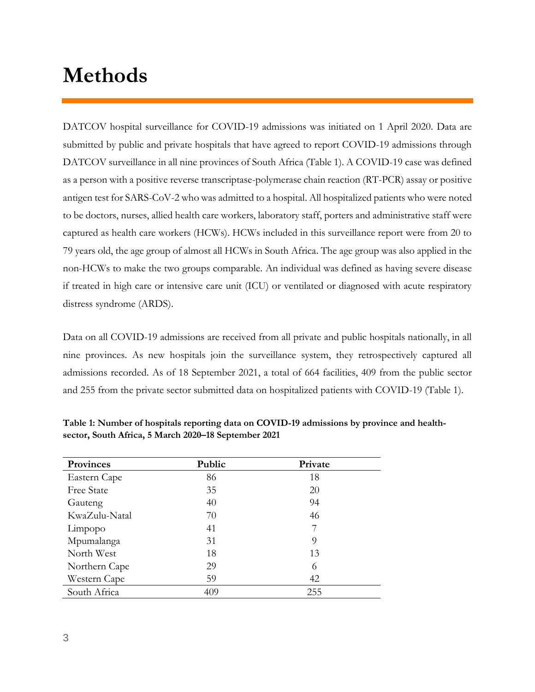### **Methods**

DATCOV hospital surveillance for COVID-19 admissions was initiated on 1 April 2020. Data are submitted by public and private hospitals that have agreed to report COVID-19 admissions through DATCOV surveillance in all nine provinces of South Africa (Table 1). A COVID-19 case was defined as a person with a positive reverse transcriptase-polymerase chain reaction (RT-PCR) assay or positive antigen test for SARS-CoV-2 who was admitted to a hospital. All hospitalized patients who were noted to be doctors, nurses, allied health care workers, laboratory staff, porters and administrative staff were captured as health care workers (HCWs). HCWs included in this surveillance report were from 20 to 79 years old, the age group of almost all HCWs in South Africa. The age group was also applied in the non-HCWs to make the two groups comparable. An individual was defined as having severe disease if treated in high care or intensive care unit (ICU) or ventilated or diagnosed with acute respiratory distress syndrome (ARDS).

Data on all COVID-19 admissions are received from all private and public hospitals nationally, in all nine provinces. As new hospitals join the surveillance system, they retrospectively captured all admissions recorded. As of 18 September 2021, a total of 664 facilities, 409 from the public sector and 255 from the private sector submitted data on hospitalized patients with COVID-19 (Table 1).

| <b>Provinces</b>  | Public | Private |  |
|-------------------|--------|---------|--|
| Eastern Cape      | 86     | 18      |  |
| <b>Free State</b> | 35     | 20      |  |
| Gauteng           | 40     | 94      |  |
| KwaZulu-Natal     | 70     | 46      |  |
| Limpopo           | 41     |         |  |
| Mpumalanga        | 31     | 9       |  |
| North West        | 18     | 13      |  |
| Northern Cape     | 29     | 6       |  |
| Western Cape      | 59     | 42      |  |
| South Africa      | 409    | 255     |  |

**Table 1: Number of hospitals reporting data on COVID-19 admissions by province and healthsector, South Africa, 5 March 2020–18 September 2021**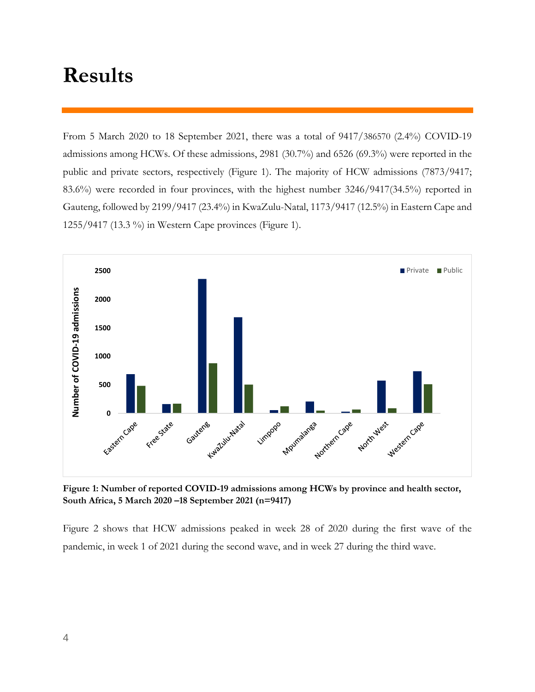### **Results**

From 5 March 2020 to 18 September 2021, there was a total of 9417/386570 (2.4%) COVID-19 admissions among HCWs. Of these admissions, 2981 (30.7%) and 6526 (69.3%) were reported in the public and private sectors, respectively (Figure 1). The majority of HCW admissions (7873/9417; 83.6%) were recorded in four provinces, with the highest number 3246/9417(34.5%) reported in Gauteng, followed by 2199/9417 (23.4%) in KwaZulu-Natal, 1173/9417 (12.5%) in Eastern Cape and 1255/9417 (13.3 %) in Western Cape provinces (Figure 1).



**Figure 1: Number of reported COVID-19 admissions among HCWs by province and health sector, South Africa, 5 March 2020 –18 September 2021 (n=9417)**

Figure 2 shows that HCW admissions peaked in week 28 of 2020 during the first wave of the pandemic, in week 1 of 2021 during the second wave, and in week 27 during the third wave.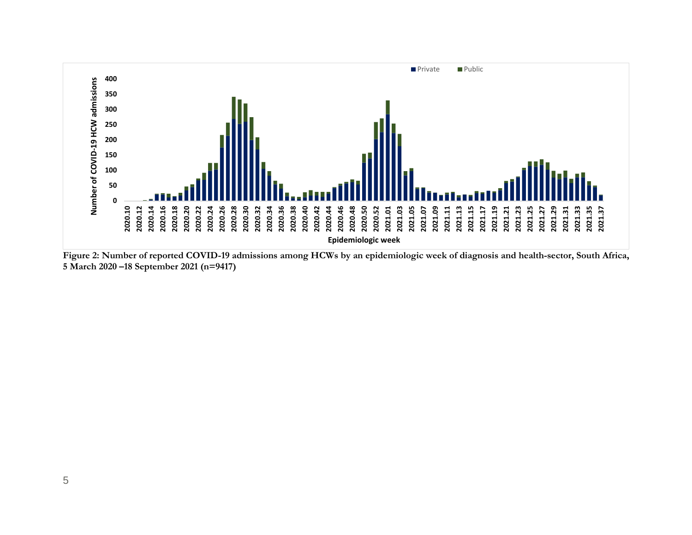

**Figure 2: Number of reported COVID-19 admissions among HCWs by an epidemiologic week of diagnosis and health-sector, South Africa, 5 March 2020 –18 September 2021 (n=9417)**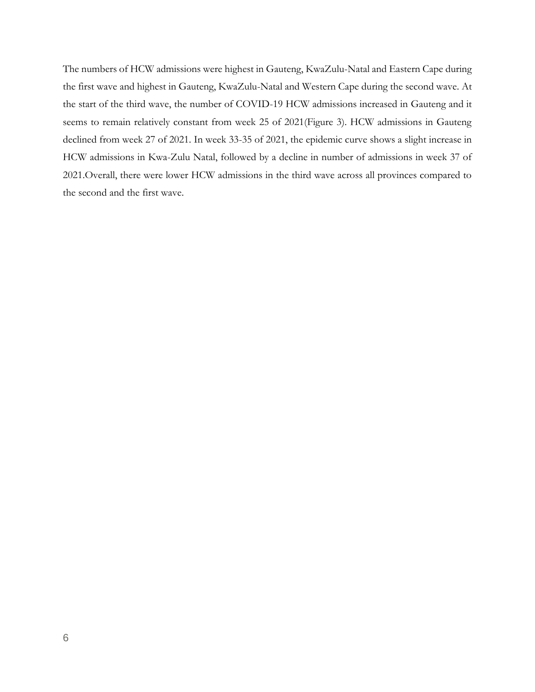The numbers of HCW admissions were highest in Gauteng, KwaZulu-Natal and Eastern Cape during the first wave and highest in Gauteng, KwaZulu-Natal and Western Cape during the second wave. At the start of the third wave, the number of COVID-19 HCW admissions increased in Gauteng and it seems to remain relatively constant from week 25 of 2021(Figure 3). HCW admissions in Gauteng declined from week 27 of 2021. In week 33-35 of 2021, the epidemic curve shows a slight increase in HCW admissions in Kwa-Zulu Natal, followed by a decline in number of admissions in week 37 of 2021.Overall, there were lower HCW admissions in the third wave across all provinces compared to the second and the first wave.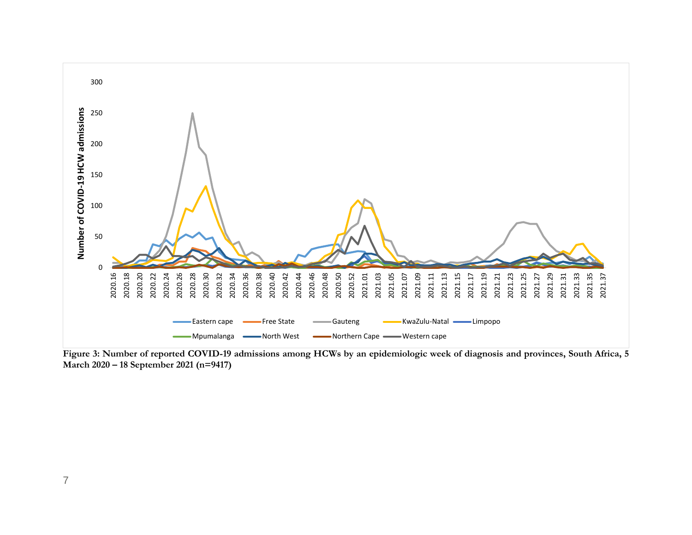

**Figure 3: Number of reported COVID-19 admissions among HCWs by an epidemiologic week of diagnosis and provinces, South Africa, 5 March 2020 – 18 September 2021 (n=9417)**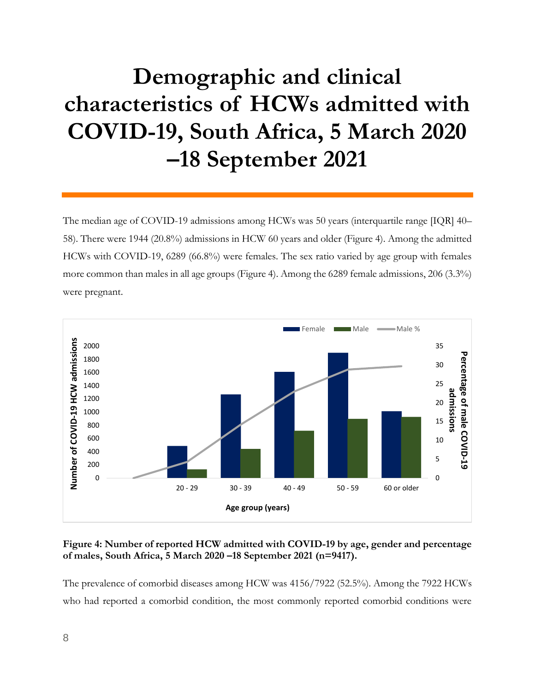## **Demographic and clinical characteristics of HCWs admitted with COVID-19, South Africa, 5 March 2020 –18 September 2021**

The median age of COVID-19 admissions among HCWs was 50 years (interquartile range [IQR] 40– 58). There were 1944 (20.8%) admissions in HCW 60 years and older (Figure 4). Among the admitted HCWs with COVID-19, 6289 (66.8%) were females. The sex ratio varied by age group with females more common than males in all age groups (Figure 4). Among the 6289 female admissions, 206 (3.3%) were pregnant.



#### **Figure 4: Number of reported HCW admitted with COVID-19 by age, gender and percentage of males, South Africa, 5 March 2020 –18 September 2021 (n=9417).**

The prevalence of comorbid diseases among HCW was 4156/7922 (52.5%). Among the 7922 HCWs who had reported a comorbid condition, the most commonly reported comorbid conditions were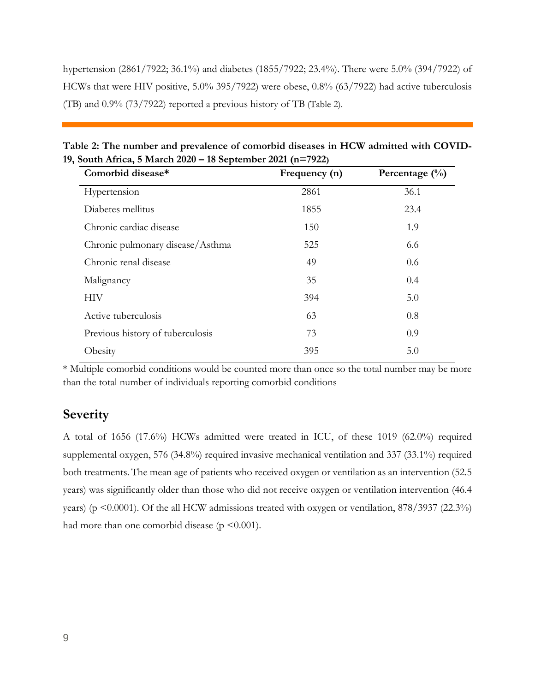hypertension (2861/7922; 36.1%) and diabetes (1855/7922; 23.4%). There were 5.0% (394/7922) of HCWs that were HIV positive, 5.0% 395/7922) were obese, 0.8% (63/7922) had active tuberculosis (TB) and 0.9% (73/7922) reported a previous history of TB (Table 2).

| $\sum_{i=1}^{n}$ $\sum_{i=1}^{n}$ $\sum_{i=1}^{n}$ $\sum_{i=1}^{n}$ $\sum_{i=1}^{n}$ $\sum_{i=1}^{n}$ | $\mathbf{E}$ and $\mathbf{E}$ and $\mathbf{E}$ and $\mathbf{E}$ and $\mathbf{E}$ and $\mathbf{E}$ and $\mathbf{E}$ and $\mathbf{E}$ | $\mathbf{D}$ . /0/ $\lambda$ |  |
|-------------------------------------------------------------------------------------------------------|-------------------------------------------------------------------------------------------------------------------------------------|------------------------------|--|
| 19, South Africa, 5 March 2020 – 18 September 2021 (n=7922)                                           |                                                                                                                                     |                              |  |
| Table 2: The number and prevalence of comorbid diseases in HCW admitted with COVID-                   |                                                                                                                                     |                              |  |

| Comorbid disease*                | Frequency (n) | Percentage $(\% )$ |
|----------------------------------|---------------|--------------------|
| Hypertension                     | 2861          | 36.1               |
| Diabetes mellitus                | 1855          | 23.4               |
| Chronic cardiac disease          | 150           | 1.9                |
| Chronic pulmonary disease/Asthma | 525           | 6.6                |
| Chronic renal disease            | 49            | 0.6                |
| Malignancy                       | 35            | 0.4                |
| <b>HIV</b>                       | 394           | 5.0                |
| Active tuberculosis              | 63            | 0.8                |
| Previous history of tuberculosis | 73            | 0.9                |
| Obesity                          | 395           | 5.0                |
|                                  |               |                    |

\* Multiple comorbid conditions would be counted more than once so the total number may be more than the total number of individuals reporting comorbid conditions

#### **Severity**

A total of 1656 (17.6%) HCWs admitted were treated in ICU, of these 1019 (62.0%) required supplemental oxygen, 576 (34.8%) required invasive mechanical ventilation and 337 (33.1%) required both treatments. The mean age of patients who received oxygen or ventilation as an intervention (52.5 years) was significantly older than those who did not receive oxygen or ventilation intervention (46.4 years) (p <0.0001). Of the all HCW admissions treated with oxygen or ventilation, 878/3937 (22.3%) had more than one comorbid disease ( $p \leq 0.001$ ).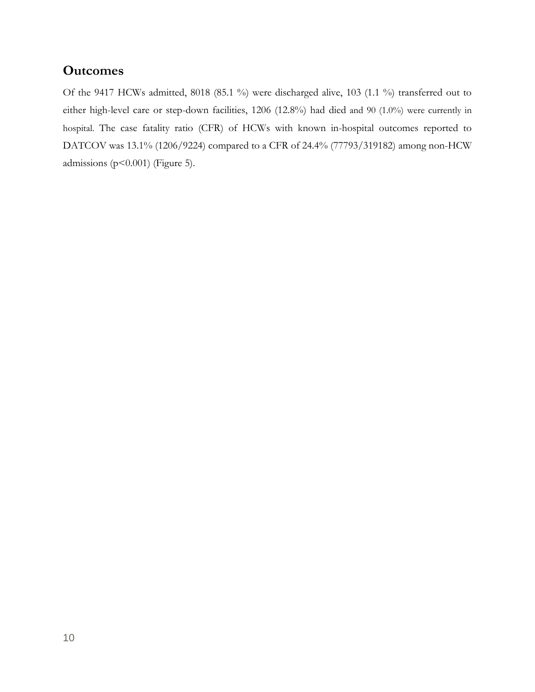#### **Outcomes**

Of the 9417 HCWs admitted, 8018 (85.1 %) were discharged alive, 103 (1.1 %) transferred out to either high-level care or step-down facilities, 1206 (12.8%) had died and 90 (1.0%) were currently in hospital. The case fatality ratio (CFR) of HCWs with known in-hospital outcomes reported to DATCOV was 13.1% (1206/9224) compared to a CFR of 24.4% (77793/319182) among non-HCW admissions ( $p < 0.001$ ) (Figure 5).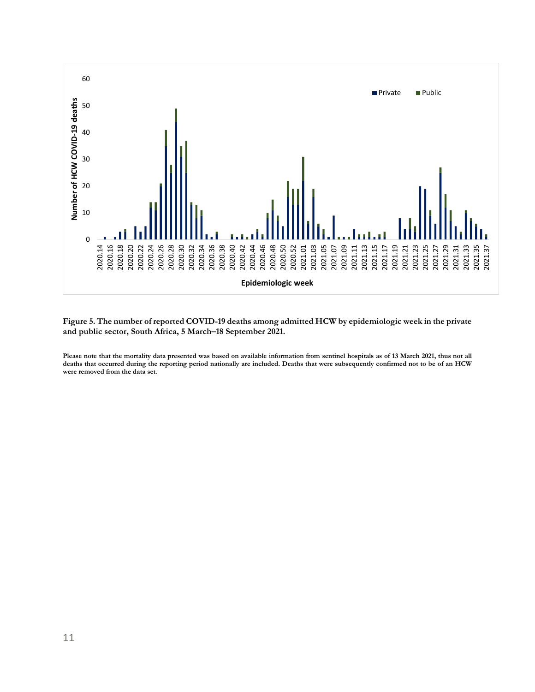

**Figure 5. The number of reported COVID-19 deaths among admitted HCW by epidemiologic week in the private and public sector, South Africa, 5 March–18 September 2021.**

**Please note that the mortality data presented was based on available information from sentinel hospitals as of 13 March 2021, thus not all deaths that occurred during the reporting period nationally are included. Deaths that were subsequently confirmed not to be of an HCW were removed from the data set**.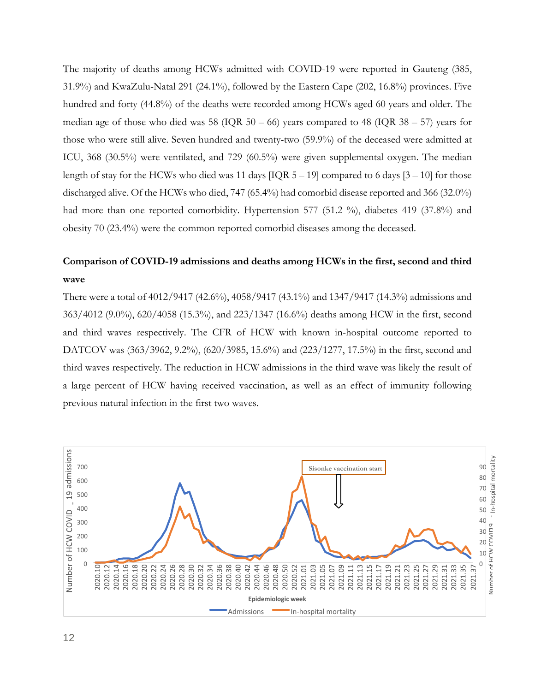The majority of deaths among HCWs admitted with COVID-19 were reported in Gauteng (385, 31.9%) and KwaZulu-Natal 291 (24.1%), followed by the Eastern Cape (202, 16.8%) provinces. Five hundred and forty (44.8%) of the deaths were recorded among HCWs aged 60 years and older. The median age of those who died was  $58$  (IQR  $50 - 66$ ) years compared to  $48$  (IQR  $38 - 57$ ) years for those who were still alive. Seven hundred and twenty-two (59.9%) of the deceased were admitted at ICU, 368 (30.5%) were ventilated, and 729 (60.5%) were given supplemental oxygen. The median length of stay for the HCWs who died was 11 days  $[IQR 5 - 19]$  compared to 6 days  $[3 - 10]$  for those discharged alive. Of the HCWs who died, 747 (65.4%) had comorbid disease reported and 366 (32.0%) had more than one reported comorbidity. Hypertension 577 (51.2 %), diabetes 419 (37.8%) and obesity 70 (23.4%) were the common reported comorbid diseases among the deceased.

#### **Comparison of COVID-19 admissions and deaths among HCWs in the first, second and third wave**

There were a total of 4012/9417 (42.6%), 4058/9417 (43.1%) and 1347/9417 (14.3%) admissions and 363/4012 (9.0%), 620/4058 (15.3%), and 223/1347 (16.6%) deaths among HCW in the first, second and third waves respectively. The CFR of HCW with known in-hospital outcome reported to DATCOV was (363/3962, 9.2%), (620/3985, 15.6%) and (223/1277, 17.5%) in the first, second and third waves respectively. The reduction in HCW admissions in the third wave was likely the result of a large percent of HCW having received vaccination, as well as an effect of immunity following previous natural infection in the first two waves.